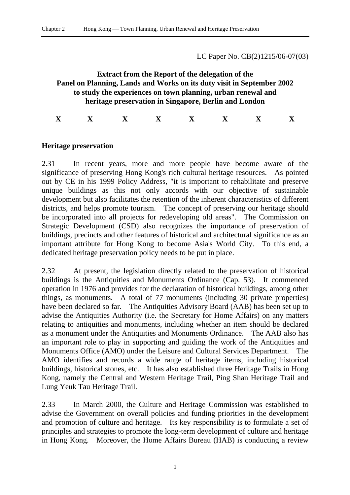### LC Paper No. CB(2)1215/06-07(03)

# **Extract from the Report of the delegation of the Panel on Planning, Lands and Works on its duty visit in September 2002 to study the experiences on town planning, urban renewal and heritage preservation in Singapore, Berlin and London**

**X X X X X X X X** 

# **Heritage preservation**

2.31 In recent years, more and more people have become aware of the significance of preserving Hong Kong's rich cultural heritage resources. As pointed out by CE in his 1999 Policy Address, "it is important to rehabilitate and preserve unique buildings as this not only accords with our objective of sustainable development but also facilitates the retention of the inherent characteristics of different districts, and helps promote tourism. The concept of preserving our heritage should be incorporated into all projects for redeveloping old areas". The Commission on Strategic Development (CSD) also recognizes the importance of preservation of buildings, precincts and other features of historical and architectural significance as an important attribute for Hong Kong to become Asia's World City. To this end, a dedicated heritage preservation policy needs to be put in place.

2.32 At present, the legislation directly related to the preservation of historical buildings is the Antiquities and Monuments Ordinance (Cap. 53). It commenced operation in 1976 and provides for the declaration of historical buildings, among other things, as monuments. A total of 77 monuments (including 30 private properties) have been declared so far. The Antiquities Advisory Board (AAB) has been set up to advise the Antiquities Authority (i.e. the Secretary for Home Affairs) on any matters relating to antiquities and monuments, including whether an item should be declared as a monument under the Antiquities and Monuments Ordinance. The AAB also has an important role to play in supporting and guiding the work of the Antiquities and Monuments Office (AMO) under the Leisure and Cultural Services Department. The AMO identifies and records a wide range of heritage items, including historical buildings, historical stones, etc. It has also established three Heritage Trails in Hong Kong, namely the Central and Western Heritage Trail, Ping Shan Heritage Trail and Lung Yeuk Tau Heritage Trail.

2.33 In March 2000, the Culture and Heritage Commission was established to advise the Government on overall policies and funding priorities in the development and promotion of culture and heritage. Its key responsibility is to formulate a set of principles and strategies to promote the long-term development of culture and heritage in Hong Kong. Moreover, the Home Affairs Bureau (HAB) is conducting a review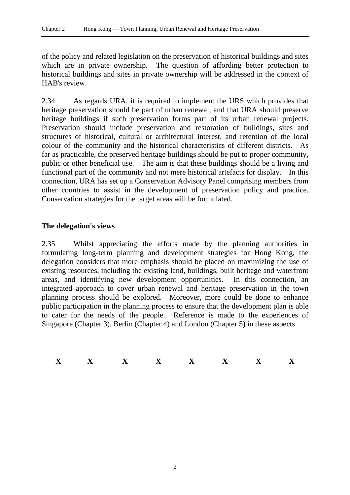of the policy and related legislation on the preservation of historical buildings and sites which are in private ownership. The question of affording better protection to historical buildings and sites in private ownership will be addressed in the context of HAB's review.

2.34 As regards URA, it is required to implement the URS which provides that heritage preservation should be part of urban renewal, and that URA should preserve heritage buildings if such preservation forms part of its urban renewal projects. Preservation should include preservation and restoration of buildings, sites and structures of historical, cultural or architectural interest, and retention of the local colour of the community and the historical characteristics of different districts. As far as practicable, the preserved heritage buildings should be put to proper community, public or other beneficial use. The aim is that these buildings should be a living and functional part of the community and not mere historical artefacts for display. In this connection, URA has set up a Conservation Advisory Panel comprising members from other countries to assist in the development of preservation policy and practice. Conservation strategies for the target areas will be formulated.

# **The delegation's views**

2.35 Whilst appreciating the efforts made by the planning authorities in formulating long-term planning and development strategies for Hong Kong, the delegation considers that more emphasis should be placed on maximizing the use of existing resources, including the existing land, buildings, built heritage and waterfront areas, and identifying new development opportunities. In this connection, an integrated approach to cover urban renewal and heritage preservation in the town planning process should be explored. Moreover, more could be done to enhance public participation in the planning process to ensure that the development plan is able to cater for the needs of the people. Reference is made to the experiences of Singapore (Chapter 3), Berlin (Chapter 4) and London (Chapter 5) in these aspects.

|    |     | -- |     |     |
|----|-----|----|-----|-----|
| -- | --- | -- | --- | --- |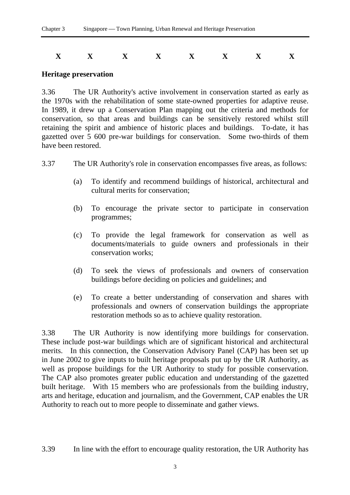$$
\begin{array}{cccccccccccccc} \mathbf{X} & \mathbf{X} & \mathbf{X} & \mathbf{X} & \mathbf{X} & \mathbf{X} & \mathbf{X} & \mathbf{X} & \mathbf{X} \end{array}
$$

#### **Heritage preservation**

3.36 The UR Authority's active involvement in conservation started as early as the 1970s with the rehabilitation of some state-owned properties for adaptive reuse. In 1989, it drew up a Conservation Plan mapping out the criteria and methods for conservation, so that areas and buildings can be sensitively restored whilst still retaining the spirit and ambience of historic places and buildings. To-date, it has gazetted over 5 600 pre-war buildings for conservation. Some two-thirds of them have been restored.

- 3.37 The UR Authority's role in conservation encompasses five areas, as follows:
	- (a) To identify and recommend buildings of historical, architectural and cultural merits for conservation;
	- (b) To encourage the private sector to participate in conservation programmes;
	- (c) To provide the legal framework for conservation as well as documents/materials to guide owners and professionals in their conservation works;
	- (d) To seek the views of professionals and owners of conservation buildings before deciding on policies and guidelines; and
	- (e) To create a better understanding of conservation and shares with professionals and owners of conservation buildings the appropriate restoration methods so as to achieve quality restoration.

3.38 The UR Authority is now identifying more buildings for conservation. These include post-war buildings which are of significant historical and architectural merits. In this connection, the Conservation Advisory Panel (CAP) has been set up in June 2002 to give inputs to built heritage proposals put up by the UR Authority, as well as propose buildings for the UR Authority to study for possible conservation. The CAP also promotes greater public education and understanding of the gazetted built heritage. With 15 members who are professionals from the building industry, arts and heritage, education and journalism, and the Government, CAP enables the UR Authority to reach out to more people to disseminate and gather views.

3.39 In line with the effort to encourage quality restoration, the UR Authority has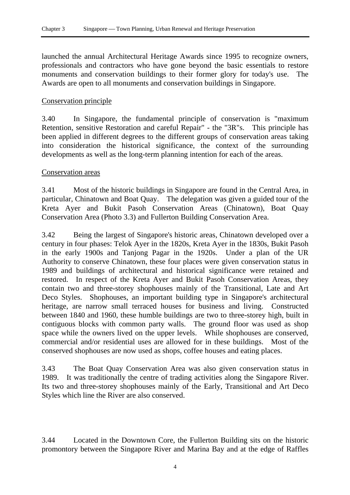launched the annual Architectural Heritage Awards since 1995 to recognize owners, professionals and contractors who have gone beyond the basic essentials to restore monuments and conservation buildings to their former glory for today's use. The Awards are open to all monuments and conservation buildings in Singapore.

# Conservation principle

3.40 In Singapore, the fundamental principle of conservation is "maximum Retention, sensitive Restoration and careful Repair" - the "3R"s. This principle has been applied in different degrees to the different groups of conservation areas taking into consideration the historical significance, the context of the surrounding developments as well as the long-term planning intention for each of the areas.

# Conservation areas

3.41 Most of the historic buildings in Singapore are found in the Central Area, in particular, Chinatown and Boat Quay. The delegation was given a guided tour of the Kreta Ayer and Bukit Pasoh Conservation Areas (Chinatown), Boat Quay Conservation Area (Photo 3.3) and Fullerton Building Conservation Area.

3.42 Being the largest of Singapore's historic areas, Chinatown developed over a century in four phases: Telok Ayer in the 1820s, Kreta Ayer in the 1830s, Bukit Pasoh in the early 1900s and Tanjong Pagar in the 1920s. Under a plan of the UR Authority to conserve Chinatown, these four places were given conservation status in 1989 and buildings of architectural and historical significance were retained and restored. In respect of the Kreta Ayer and Bukit Pasoh Conservation Areas, they contain two and three-storey shophouses mainly of the Transitional, Late and Art Deco Styles. Shophouses, an important building type in Singapore's architectural heritage, are narrow small terraced houses for business and living. Constructed between 1840 and 1960, these humble buildings are two to three-storey high, built in contiguous blocks with common party walls. The ground floor was used as shop space while the owners lived on the upper levels. While shophouses are conserved, commercial and/or residential uses are allowed for in these buildings. Most of the conserved shophouses are now used as shops, coffee houses and eating places.

3.43 The Boat Quay Conservation Area was also given conservation status in 1989. It was traditionally the centre of trading activities along the Singapore River. Its two and three-storey shophouses mainly of the Early, Transitional and Art Deco Styles which line the River are also conserved.

3.44 Located in the Downtown Core, the Fullerton Building sits on the historic promontory between the Singapore River and Marina Bay and at the edge of Raffles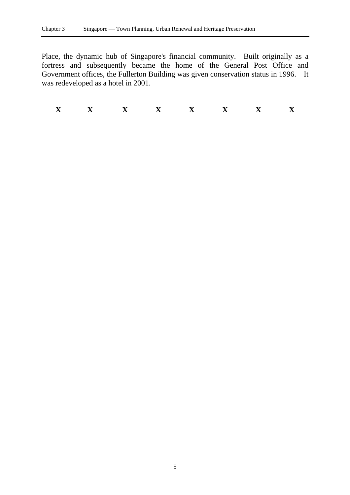Place, the dynamic hub of Singapore's financial community. Built originally as a fortress and subsequently became the home of the General Post Office and Government offices, the Fullerton Building was given conservation status in 1996. It was redeveloped as a hotel in 2001.

**X X X X X X X X**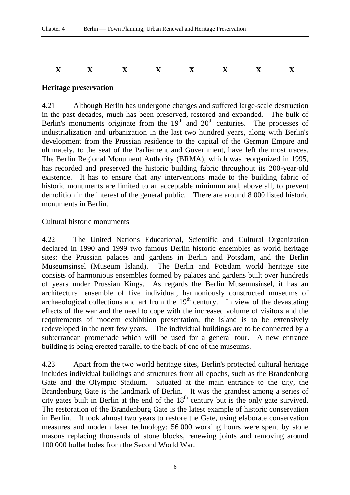# **X X X X X X X X**

# **Heritage preservation**

4.21 Although Berlin has undergone changes and suffered large-scale destruction in the past decades, much has been preserved, restored and expanded. The bulk of Berlin's monuments originate from the  $19<sup>th</sup>$  and  $20<sup>th</sup>$  centuries. The processes of industrialization and urbanization in the last two hundred years, along with Berlin's development from the Prussian residence to the capital of the German Empire and ultimately, to the seat of the Parliament and Government, have left the most traces. The Berlin Regional Monument Authority (BRMA), which was reorganized in 1995, has recorded and preserved the historic building fabric throughout its 200-year-old existence. It has to ensure that any interventions made to the building fabric of historic monuments are limited to an acceptable minimum and, above all, to prevent demolition in the interest of the general public. There are around 8 000 listed historic monuments in Berlin.

### Cultural historic monuments

4.22 The United Nations Educational, Scientific and Cultural Organization declared in 1990 and 1999 two famous Berlin historic ensembles as world heritage sites: the Prussian palaces and gardens in Berlin and Potsdam, and the Berlin Museumsinsel (Museum Island). The Berlin and Potsdam world heritage site consists of harmonious ensembles formed by palaces and gardens built over hundreds of years under Prussian Kings. As regards the Berlin Museumsinsel, it has an architectural ensemble of five individual, harmoniously constructed museums of archaeological collections and art from the  $19<sup>th</sup>$  century. In view of the devastating effects of the war and the need to cope with the increased volume of visitors and the requirements of modern exhibition presentation, the island is to be extensively redeveloped in the next few years. The individual buildings are to be connected by a subterranean promenade which will be used for a general tour. A new entrance building is being erected parallel to the back of one of the museums.

4.23 Apart from the two world heritage sites, Berlin's protected cultural heritage includes individual buildings and structures from all epochs, such as the Brandenburg Gate and the Olympic Stadium. Situated at the main entrance to the city, the Brandenburg Gate is the landmark of Berlin. It was the grandest among a series of city gates built in Berlin at the end of the  $18<sup>th</sup>$  century but is the only gate survived. The restoration of the Brandenburg Gate is the latest example of historic conservation in Berlin. It took almost two years to restore the Gate, using elaborate conservation measures and modern laser technology: 56 000 working hours were spent by stone masons replacing thousands of stone blocks, renewing joints and removing around 100 000 bullet holes from the Second World War.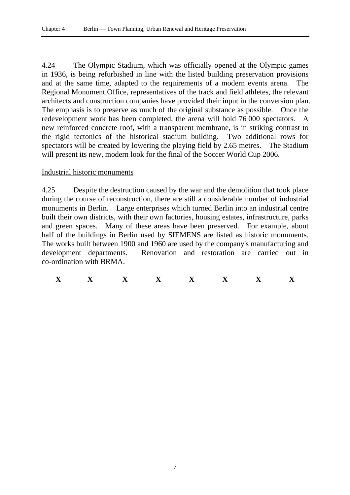4.24 The Olympic Stadium, which was officially opened at the Olympic games in 1936, is being refurbished in line with the listed building preservation provisions and at the same time, adapted to the requirements of a modern events arena. The Regional Monument Office, representatives of the track and field athletes, the relevant architects and construction companies have provided their input in the conversion plan. The emphasis is to preserve as much of the original substance as possible. Once the redevelopment work has been completed, the arena will hold 76 000 spectators. A new reinforced concrete roof, with a transparent membrane, is in striking contrast to the rigid tectonics of the historical stadium building. Two additional rows for spectators will be created by lowering the playing field by 2.65 metres. The Stadium will present its new, modern look for the final of the Soccer World Cup 2006.

#### Industrial historic monuments

4.25 Despite the destruction caused by the war and the demolition that took place during the course of reconstruction, there are still a considerable number of industrial monuments in Berlin. Large enterprises which turned Berlin into an industrial centre built their own districts, with their own factories, housing estates, infrastructure, parks and green spaces. Many of these areas have been preserved. For example, about half of the buildings in Berlin used by SIEMENS are listed as historic monuments. The works built between 1900 and 1960 are used by the company's manufacturing and development departments. Renovation and restoration are carried out in co-ordination with BRMA.

| --- | --- | --- | __<br>--- | --- | -- | --- |
|-----|-----|-----|-----------|-----|----|-----|
|     |     |     |           |     |    |     |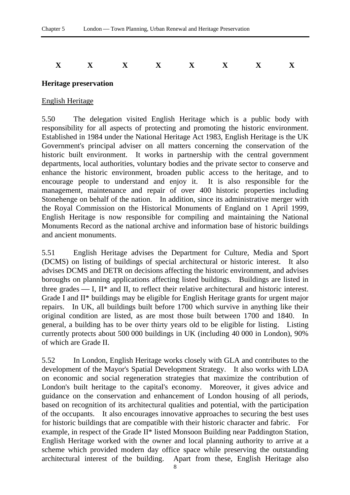# **X X X X X X X X**

### **Heritage preservation**

### English Heritage

5.50 The delegation visited English Heritage which is a public body with responsibility for all aspects of protecting and promoting the historic environment. Established in 1984 under the National Heritage Act 1983, English Heritage is the UK Government's principal adviser on all matters concerning the conservation of the historic built environment. It works in partnership with the central government departments, local authorities, voluntary bodies and the private sector to conserve and enhance the historic environment, broaden public access to the heritage, and to encourage people to understand and enjoy it. It is also responsible for the management, maintenance and repair of over 400 historic properties including Stonehenge on behalf of the nation. In addition, since its administrative merger with the Royal Commission on the Historical Monuments of England on 1 April 1999, English Heritage is now responsible for compiling and maintaining the National Monuments Record as the national archive and information base of historic buildings and ancient monuments.

5.51 English Heritage advises the Department for Culture, Media and Sport (DCMS) on listing of buildings of special architectural or historic interest. It also advises DCMS and DETR on decisions affecting the historic environment, and advises boroughs on planning applications affecting listed buildings. Buildings are listed in three grades  $\sim$  I, II\* and II, to reflect their relative architectural and historic interest. Grade I and II\* buildings may be eligible for English Heritage grants for urgent major repairs. In UK, all buildings built before 1700 which survive in anything like their original condition are listed, as are most those built between 1700 and 1840. In general, a building has to be over thirty years old to be eligible for listing. Listing currently protects about 500 000 buildings in UK (including 40 000 in London), 90% of which are Grade II.

5.52 In London, English Heritage works closely with GLA and contributes to the development of the Mayor's Spatial Development Strategy. It also works with LDA on economic and social regeneration strategies that maximize the contribution of London's built heritage to the capital's economy. Moreover, it gives advice and guidance on the conservation and enhancement of London housing of all periods, based on recognition of its architectural qualities and potential, with the participation of the occupants. It also encourages innovative approaches to securing the best uses for historic buildings that are compatible with their historic character and fabric. For example, in respect of the Grade II\* listed Monsoon Building near Paddington Station, English Heritage worked with the owner and local planning authority to arrive at a scheme which provided modern day office space while preserving the outstanding architectural interest of the building. Apart from these, English Heritage also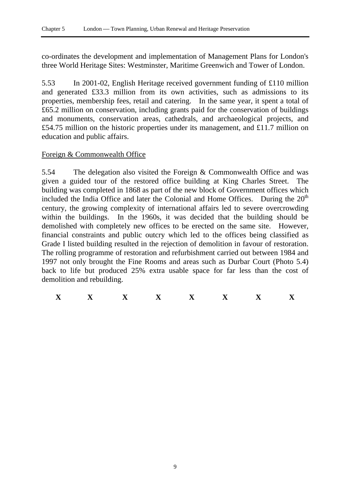co-ordinates the development and implementation of Management Plans for London's three World Heritage Sites: Westminster, Maritime Greenwich and Tower of London.

5.53 In 2001-02, English Heritage received government funding of £110 million and generated £33.3 million from its own activities, such as admissions to its properties, membership fees, retail and catering. In the same year, it spent a total of £65.2 million on conservation, including grants paid for the conservation of buildings and monuments, conservation areas, cathedrals, and archaeological projects, and £54.75 million on the historic properties under its management, and £11.7 million on education and public affairs.

# Foreign & Commonwealth Office

5.54 The delegation also visited the Foreign & Commonwealth Office and was given a guided tour of the restored office building at King Charles Street. The building was completed in 1868 as part of the new block of Government offices which included the India Office and later the Colonial and Home Offices. During the  $20<sup>th</sup>$ century, the growing complexity of international affairs led to severe overcrowding within the buildings. In the 1960s, it was decided that the building should be demolished with completely new offices to be erected on the same site. However, financial constraints and public outcry which led to the offices being classified as Grade I listed building resulted in the rejection of demolition in favour of restoration. The rolling programme of restoration and refurbishment carried out between 1984 and 1997 not only brought the Fine Rooms and areas such as Durbar Court (Photo 5.4) back to life but produced 25% extra usable space for far less than the cost of demolition and rebuilding.

| --- |  | --- | -- | __<br>--- | -- |
|-----|--|-----|----|-----------|----|
|     |  |     |    |           |    |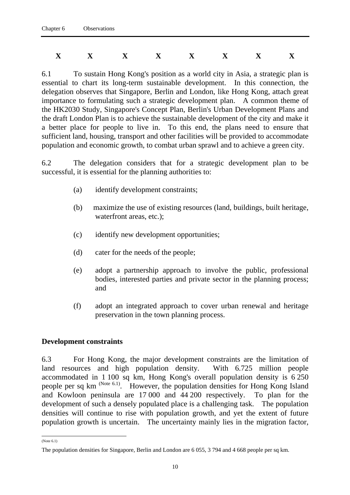# **X X X X X X X X**

6.1 To sustain Hong Kong's position as a world city in Asia, a strategic plan is essential to chart its long-term sustainable development. In this connection, the delegation observes that Singapore, Berlin and London, like Hong Kong, attach great importance to formulating such a strategic development plan. A common theme of the HK2030 Study, Singapore's Concept Plan, Berlin's Urban Development Plans and the draft London Plan is to achieve the sustainable development of the city and make it a better place for people to live in. To this end, the plans need to ensure that sufficient land, housing, transport and other facilities will be provided to accommodate population and economic growth, to combat urban sprawl and to achieve a green city.

6.2 The delegation considers that for a strategic development plan to be successful, it is essential for the planning authorities to:

- (a) identify development constraints;
- (b) maximize the use of existing resources (land, buildings, built heritage, waterfront areas, etc.);
- (c) identify new development opportunities;
- (d) cater for the needs of the people;
- (e) adopt a partnership approach to involve the public, professional bodies, interested parties and private sector in the planning process; and
- (f) adopt an integrated approach to cover urban renewal and heritage preservation in the town planning process.

### **Development constraints**

6.3 For Hong Kong, the major development constraints are the limitation of land resources and high population density. With 6.725 million people accommodated in 1 100 sq km, Hong Kong's overall population density is  $6\overline{250}$ people per sq km (Note 6.1). However, the population densities for Hong Kong Island and Kowloon peninsula are 17 000 and 44 200 respectively. To plan for the development of such a densely populated place is a challenging task. The population densities will continue to rise with population growth, and yet the extent of future population growth is uncertain. The uncertainty mainly lies in the migration factor,

 $\overline{a}$ (Note 6.1)

The population densities for Singapore, Berlin and London are 6 055, 3 794 and 4 668 people per sq km.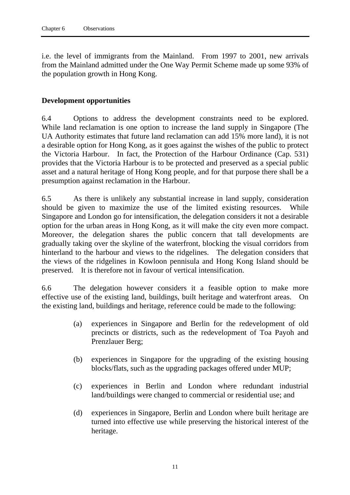i.e. the level of immigrants from the Mainland. From 1997 to 2001, new arrivals from the Mainland admitted under the One Way Permit Scheme made up some 93% of the population growth in Hong Kong.

### **Development opportunities**

6.4 Options to address the development constraints need to be explored. While land reclamation is one option to increase the land supply in Singapore (The UA Authority estimates that future land reclamation can add 15% more land), it is not a desirable option for Hong Kong, as it goes against the wishes of the public to protect the Victoria Harbour. In fact, the Protection of the Harbour Ordinance (Cap. 531) provides that the Victoria Harbour is to be protected and preserved as a special public asset and a natural heritage of Hong Kong people, and for that purpose there shall be a presumption against reclamation in the Harbour.

6.5 As there is unlikely any substantial increase in land supply, consideration should be given to maximize the use of the limited existing resources. While Singapore and London go for intensification, the delegation considers it not a desirable option for the urban areas in Hong Kong, as it will make the city even more compact. Moreover, the delegation shares the public concern that tall developments are gradually taking over the skyline of the waterfront, blocking the visual corridors from hinterland to the harbour and views to the ridgelines. The delegation considers that the views of the ridgelines in Kowloon pennisula and Hong Kong Island should be preserved. It is therefore not in favour of vertical intensification.

6.6 The delegation however considers it a feasible option to make more effective use of the existing land, buildings, built heritage and waterfront areas. On the existing land, buildings and heritage, reference could be made to the following:

- (a) experiences in Singapore and Berlin for the redevelopment of old precincts or districts, such as the redevelopment of Toa Payoh and Prenzlauer Berg;
- (b) experiences in Singapore for the upgrading of the existing housing blocks/flats, such as the upgrading packages offered under MUP;
- (c) experiences in Berlin and London where redundant industrial land/buildings were changed to commercial or residential use; and
- (d) experiences in Singapore, Berlin and London where built heritage are turned into effective use while preserving the historical interest of the heritage.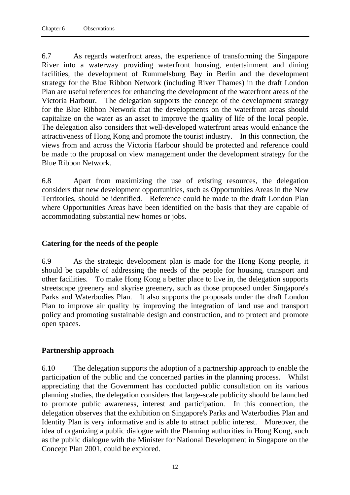6.7 As regards waterfront areas, the experience of transforming the Singapore River into a waterway providing waterfront housing, entertainment and dining facilities, the development of Rummelsburg Bay in Berlin and the development strategy for the Blue Ribbon Network (including River Thames) in the draft London Plan are useful references for enhancing the development of the waterfront areas of the Victoria Harbour. The delegation supports the concept of the development strategy for the Blue Ribbon Network that the developments on the waterfront areas should capitalize on the water as an asset to improve the quality of life of the local people. The delegation also considers that well-developed waterfront areas would enhance the attractiveness of Hong Kong and promote the tourist industry. In this connection, the views from and across the Victoria Harbour should be protected and reference could be made to the proposal on view management under the development strategy for the Blue Ribbon Network.

6.8 Apart from maximizing the use of existing resources, the delegation considers that new development opportunities, such as Opportunities Areas in the New Territories, should be identified. Reference could be made to the draft London Plan where Opportunities Areas have been identified on the basis that they are capable of accommodating substantial new homes or jobs.

# **Catering for the needs of the people**

6.9 As the strategic development plan is made for the Hong Kong people, it should be capable of addressing the needs of the people for housing, transport and other facilities. To make Hong Kong a better place to live in, the delegation supports streetscape greenery and skyrise greenery, such as those proposed under Singapore's Parks and Waterbodies Plan. It also supports the proposals under the draft London Plan to improve air quality by improving the integration of land use and transport policy and promoting sustainable design and construction, and to protect and promote open spaces.

# **Partnership approach**

6.10 The delegation supports the adoption of a partnership approach to enable the participation of the public and the concerned parties in the planning process. Whilst appreciating that the Government has conducted public consultation on its various planning studies, the delegation considers that large-scale publicity should be launched to promote public awareness, interest and participation. In this connection, the delegation observes that the exhibition on Singapore's Parks and Waterbodies Plan and Identity Plan is very informative and is able to attract public interest. Moreover, the idea of organizing a public dialogue with the Planning authorities in Hong Kong, such as the public dialogue with the Minister for National Development in Singapore on the Concept Plan 2001, could be explored.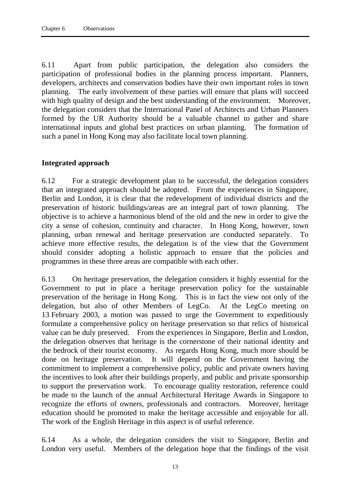6.11 Apart from public participation, the delegation also considers the participation of professional bodies in the planning process important. Planners, developers, architects and conservation bodies have their own important roles in town planning. The early involvement of these parties will ensure that plans will succeed with high quality of design and the best understanding of the environment. Moreover, the delegation considers that the International Panel of Architects and Urban Planners formed by the UR Authority should be a valuable channel to gather and share international inputs and global best practices on urban planning. The formation of such a panel in Hong Kong may also facilitate local town planning.

# **Integrated approach**

6.12 For a strategic development plan to be successful, the delegation considers that an integrated approach should be adopted. From the experiences in Singapore, Berlin and London, it is clear that the redevelopment of individual districts and the preservation of historic buildings/areas are an integral part of town planning. objective is to achieve a harmonious blend of the old and the new in order to give the city a sense of cohesion, continuity and character. In Hong Kong, however, town planning, urban renewal and heritage preservation are conducted separately. To achieve more effective results, the delegation is of the view that the Government should consider adopting a holistic approach to ensure that the policies and programmes in these three areas are compatible with each other.

6.13 On heritage preservation, the delegation considers it highly essential for the Government to put in place a heritage preservation policy for the sustainable preservation of the heritage in Hong Kong. This is in fact the view not only of the delegation, but also of other Members of LegCo. At the LegCo meeting on 13 February 2003, a motion was passed to urge the Government to expeditiously formulate a comprehensive policy on heritage preservation so that relics of historical value can be duly preserved. From the experiences in Singapore, Berlin and London, the delegation observes that heritage is the cornerstone of their national identity and the bedrock of their tourist economy. As regards Hong Kong, much more should be done on heritage preservation. It will depend on the Government having the commitment to implement a comprehensive policy, public and private owners having the incentives to look after their buildings properly, and public and private sponsorship to support the preservation work. To encourage quality restoration, reference could be made to the launch of the annual Architectural Heritage Awards in Singapore to recognize the efforts of owners, professionals and contractors. Moreover, heritage education should be promoted to make the heritage accessible and enjoyable for all. The work of the English Heritage in this aspect is of useful reference.

6.14 As a whole, the delegation considers the visit to Singapore, Berlin and London very useful. Members of the delegation hope that the findings of the visit